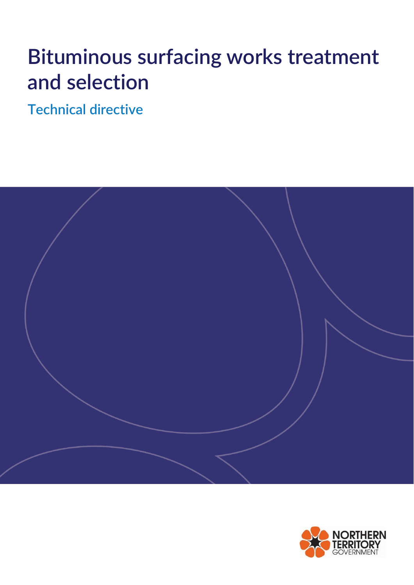# **Bituminous surfacing works treatment and selection**

**Technical directive**



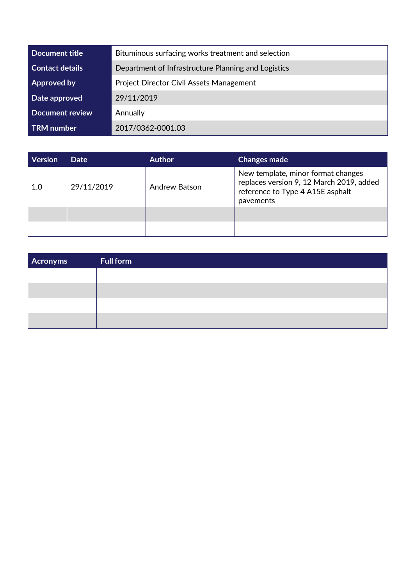| Document title         | Bituminous surfacing works treatment and selection  |
|------------------------|-----------------------------------------------------|
| <b>Contact details</b> | Department of Infrastructure Planning and Logistics |
| Approved by            | Project Director Civil Assets Management            |
| Date approved          | 29/11/2019                                          |
| <b>Document review</b> | Annually                                            |
| <b>TRM</b> number      | 2017/0362-0001.03                                   |

| <b>Version</b> | Date       | <b>Author</b> | <b>Changes made</b>                                                                                                             |
|----------------|------------|---------------|---------------------------------------------------------------------------------------------------------------------------------|
| 1.0            | 29/11/2019 | Andrew Batson | New template, minor format changes<br>replaces version 9, 12 March 2019, added<br>reference to Type 4 A15E asphalt<br>pavements |
|                |            |               |                                                                                                                                 |
|                |            |               |                                                                                                                                 |

| Acronyms | <b>Full form</b> |
|----------|------------------|
|          |                  |
|          |                  |
|          |                  |
|          |                  |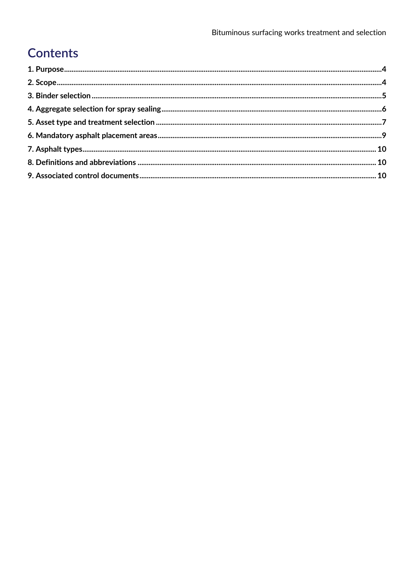# **Contents**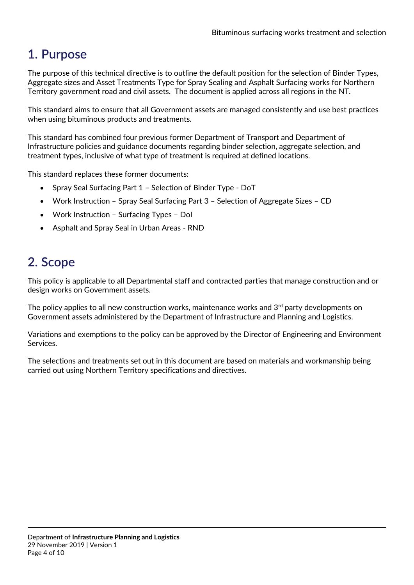### <span id="page-3-0"></span>**1. Purpose**

The purpose of this technical directive is to outline the default position for the selection of Binder Types, Aggregate sizes and Asset Treatments Type for Spray Sealing and Asphalt Surfacing works for Northern Territory government road and civil assets. The document is applied across all regions in the NT.

This standard aims to ensure that all Government assets are managed consistently and use best practices when using bituminous products and treatments.

This standard has combined four previous former Department of Transport and Department of Infrastructure policies and guidance documents regarding binder selection, aggregate selection, and treatment types, inclusive of what type of treatment is required at defined locations.

This standard replaces these former documents:

- Spray Seal Surfacing Part 1 Selection of Binder Type DoT
- Work Instruction Spray Seal Surfacing Part 3 Selection of Aggregate Sizes CD
- Work Instruction Surfacing Types DoI
- Asphalt and Spray Seal in Urban Areas RND

### <span id="page-3-1"></span>**2. Scope**

This policy is applicable to all Departmental staff and contracted parties that manage construction and or design works on Government assets.

The policy applies to all new construction works, maintenance works and 3<sup>rd</sup> party developments on Government assets administered by the Department of Infrastructure and Planning and Logistics.

Variations and exemptions to the policy can be approved by the Director of Engineering and Environment Services.

The selections and treatments set out in this document are based on materials and workmanship being carried out using Northern Territory specifications and directives.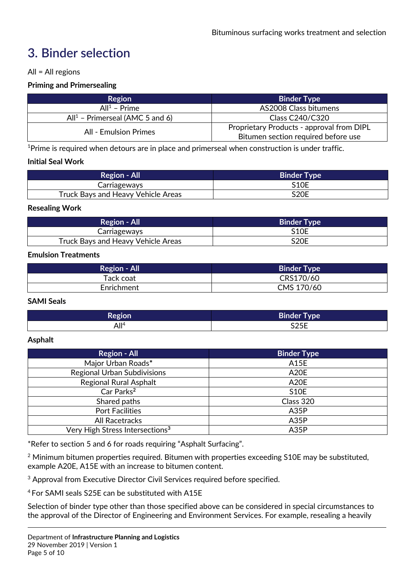# <span id="page-4-0"></span>**3. Binder selection**

### All = All regions

### **Priming and Primersealing**

| <b>Region</b>                     | <b>Binder Type</b>                                                               |
|-----------------------------------|----------------------------------------------------------------------------------|
| $All1 - Prime$                    | AS2008 Class bitumens                                                            |
| $All1$ – Primerseal (AMC 5 and 6) | Class C240/C320                                                                  |
| All - Emulsion Primes             | Proprietary Products - approval from DIPL<br>Bitumen section required before use |

<sup>1</sup>Prime is required when detours are in place and primerseal when construction is under traffic.

### **Initial Seal Work**

| <b>Region - All</b>                | <b>Binder Type</b> |
|------------------------------------|--------------------|
| Carriageways                       | S10E               |
| Truck Bays and Heavy Vehicle Areas | S20E               |

#### **Resealing Work**

| <b>Region - All</b>                | <b>Binder Type</b> |
|------------------------------------|--------------------|
| Carriageways                       | S10E               |
| Truck Bays and Heavy Vehicle Areas | S20E               |

#### **Emulsion Treatments**

| <b>Region - All</b> | <b>Binder Type</b> |
|---------------------|--------------------|
| Tack coat           | CRS170/60          |
| Enrichment          | CMS 170/60         |

#### **SAMI Seals**

|      | <b>Binder Type</b> |
|------|--------------------|
| -114 | S25E               |
| All  |                    |

### **Asphalt**

| <b>Region - All</b>                         | <b>Binder Type</b> |
|---------------------------------------------|--------------------|
| Major Urban Roads*                          | A15E               |
| <b>Regional Urban Subdivisions</b>          | A <sub>2</sub> OE  |
| <b>Regional Rural Asphalt</b>               | <b>A20E</b>        |
| Car Parks <sup>2</sup>                      | <b>S10E</b>        |
| Shared paths                                | Class 320          |
| <b>Port Facilities</b>                      | A35P               |
| All Racetracks                              | A35P               |
| Very High Stress Intersections <sup>3</sup> | A35P               |

\*Refer to section 5 and 6 for roads requiring "Asphalt Surfacing".

 $2$  Minimum bitumen properties required. Bitumen with properties exceeding S10E may be substituted, example A20E, A15E with an increase to bitumen content.

<sup>3</sup> Approval from Executive Director Civil Services required before specified.

<sup>4</sup>For SAMI seals S25E can be substituted with A15E

Selection of binder type other than those specified above can be considered in special circumstances to the approval of the Director of Engineering and Environment Services. For example, resealing a heavily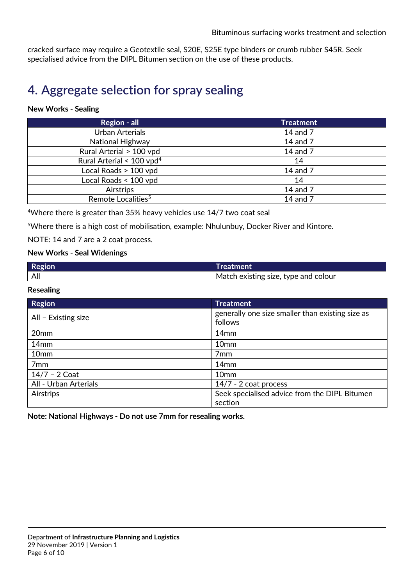cracked surface may require a Geotextile seal, S20E, S25E type binders or crumb rubber S45R. Seek specialised advice from the DIPL Bitumen section on the use of these products.

### <span id="page-5-0"></span>**4. Aggregate selection for spray sealing**

### **New Works - Sealing**

| <b>Region - all</b>                   | <b>Treatment</b> |
|---------------------------------------|------------------|
| Urban Arterials                       | 14 and 7         |
| National Highway                      | 14 and 7         |
| Rural Arterial > 100 vpd              | 14 and 7         |
| Rural Arterial < 100 vpd <sup>4</sup> | 14               |
| Local Roads > 100 vpd                 | 14 and 7         |
| Local Roads < 100 vpd                 | 14               |
| Airstrips                             | 14 and 7         |
| Remote Localities <sup>5</sup>        | 14 and 7         |

<sup>4</sup>Where there is greater than 35% heavy vehicles use 14/7 two coat seal

<sup>5</sup>Where there is a high cost of mobilisation, example: Nhulunbuy, Docker River and Kintore.

NOTE: 14 and 7 are a 2 coat process.

### **New Works - Seal Widenings**

| Region | <b>Treatment</b>                     |
|--------|--------------------------------------|
| All    | Match existing size, type and colour |

#### **Resealing**

| <b>Region</b>         | <b>Treatment</b>                                            |
|-----------------------|-------------------------------------------------------------|
| All - Existing size   | generally one size smaller than existing size as<br>follows |
| 20 <sub>mm</sub>      | 14 <sub>mm</sub>                                            |
| 14 <sub>mm</sub>      | 10 <sub>mm</sub>                                            |
| 10 <sub>mm</sub>      | 7 <sub>mm</sub>                                             |
| 7 <sub>mm</sub>       | 14 <sub>mm</sub>                                            |
| $14/7 - 2$ Coat       | 10 <sub>mm</sub>                                            |
| All - Urban Arterials | $14/7 - 2$ coat process                                     |
| Airstrips             | Seek specialised advice from the DIPL Bitumen<br>section    |

**Note: National Highways - Do not use 7mm for resealing works.**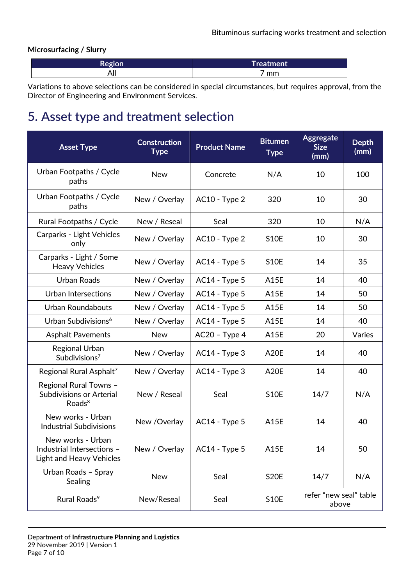### **Microsurfacing / Slurry**

| <b>ANSSE</b> | æ.<br>Treatment |
|--------------|-----------------|
| וור          | mm              |

Variations to above selections can be considered in special circumstances, but requires approval, from the Director of Engineering and Environment Services.

# <span id="page-6-0"></span>**5. Asset type and treatment selection**

| <b>Asset Type</b>                                                                  | <b>Construction</b><br><b>Type</b> | <b>Product Name</b>  | <b>Bitumen</b><br><b>Type</b> | <b>Aggregate</b><br><b>Size</b><br>(mm) | <b>Depth</b><br>(mm) |
|------------------------------------------------------------------------------------|------------------------------------|----------------------|-------------------------------|-----------------------------------------|----------------------|
| Urban Footpaths / Cycle<br>paths                                                   | <b>New</b>                         | Concrete             | N/A                           | 10                                      | 100                  |
| Urban Footpaths / Cycle<br>paths                                                   | New / Overlay                      | AC10 - Type 2        | 320                           | 10                                      | 30                   |
| Rural Footpaths / Cycle                                                            | New / Reseal                       | Seal                 | 320                           | 10                                      | N/A                  |
| Carparks - Light Vehicles<br>only                                                  | New / Overlay                      | AC10 - Type 2        | <b>S10E</b>                   | 10                                      | 30                   |
| Carparks - Light / Some<br><b>Heavy Vehicles</b>                                   | New / Overlay                      | <b>AC14 - Type 5</b> | <b>S10E</b>                   | 14                                      | 35                   |
| <b>Urban Roads</b>                                                                 | New / Overlay                      | <b>AC14 - Type 5</b> | A15E                          | 14                                      | 40                   |
| Urban Intersections                                                                | New / Overlay                      | AC14 - Type 5        | A15E                          | 14                                      | 50                   |
| <b>Urban Roundabouts</b>                                                           | New / Overlay                      | AC14 - Type 5        | A15E                          | 14                                      | 50                   |
| Urban Subdivisions <sup>6</sup>                                                    | New / Overlay                      | <b>AC14 - Type 5</b> | A15E                          | 14                                      | 40                   |
| <b>Asphalt Pavements</b>                                                           | <b>New</b>                         | $AC20 - Type4$       | A15E                          | 20                                      | Varies               |
| Regional Urban<br>Subdivisions <sup>7</sup>                                        | New / Overlay                      | AC14 - Type 3        | <b>A20E</b>                   | 14                                      | 40                   |
| Regional Rural Asphalt <sup>7</sup>                                                | New / Overlay                      | AC14 - Type 3        | <b>A20E</b>                   | 14                                      | 40                   |
| Regional Rural Towns -<br><b>Subdivisions or Arterial</b><br>Roads <sup>8</sup>    | New / Reseal                       | Seal                 | <b>S10E</b>                   | 14/7                                    | N/A                  |
| New works - Urban<br><b>Industrial Subdivisions</b>                                | New / Overlay                      | AC14 - Type 5        | A15E                          | 14                                      | 40                   |
| New works - Urban<br>Industrial Intersections -<br><b>Light and Heavy Vehicles</b> | New / Overlay                      | AC14 - Type 5        | A15E                          | 14                                      | 50                   |
| Urban Roads - Spray<br>Sealing                                                     | <b>New</b>                         | Seal                 | <b>S20E</b>                   | 14/7                                    | N/A                  |
| Rural Roads <sup>9</sup>                                                           | New/Reseal                         | Seal                 | <b>S10E</b>                   | refer "new seal" table<br>above         |                      |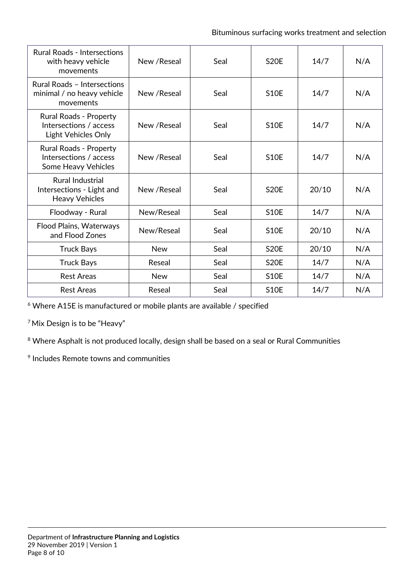| <b>Rural Roads - Intersections</b><br>with heavy vehicle<br>movements         | New /Reseal | Seal | <b>S20E</b> | 14/7  | N/A |
|-------------------------------------------------------------------------------|-------------|------|-------------|-------|-----|
| <b>Rural Roads - Intersections</b><br>minimal / no heavy vehicle<br>movements | New /Reseal | Seal | <b>S10E</b> | 14/7  | N/A |
| Rural Roads - Property<br>Intersections / access<br>Light Vehicles Only       | New /Reseal | Seal | <b>S10E</b> | 14/7  | N/A |
| Rural Roads - Property<br>Intersections / access<br>Some Heavy Vehicles       | New /Reseal | Seal | <b>S10E</b> | 14/7  | N/A |
| <b>Rural Industrial</b><br>Intersections - Light and<br><b>Heavy Vehicles</b> | New /Reseal | Seal | <b>S20E</b> | 20/10 | N/A |
| Floodway - Rural                                                              | New/Reseal  | Seal | <b>S10E</b> | 14/7  | N/A |
| Flood Plains, Waterways<br>and Flood Zones                                    | New/Reseal  | Seal | <b>S10E</b> | 20/10 | N/A |
| <b>Truck Bays</b>                                                             | <b>New</b>  | Seal | <b>S20E</b> | 20/10 | N/A |
| <b>Truck Bays</b>                                                             | Reseal      | Seal | <b>S20E</b> | 14/7  | N/A |
| <b>Rest Areas</b>                                                             | <b>New</b>  | Seal | <b>S10E</b> | 14/7  | N/A |
| <b>Rest Areas</b>                                                             | Reseal      | Seal | <b>S10E</b> | 14/7  | N/A |

<sup>6</sup> Where A15E is manufactured or mobile plants are available / specified

<sup>7</sup>Mix Design is to be "Heavy"

<sup>8</sup> Where Asphalt is not produced locally, design shall be based on a seal or Rural Communities

9 Includes Remote towns and communities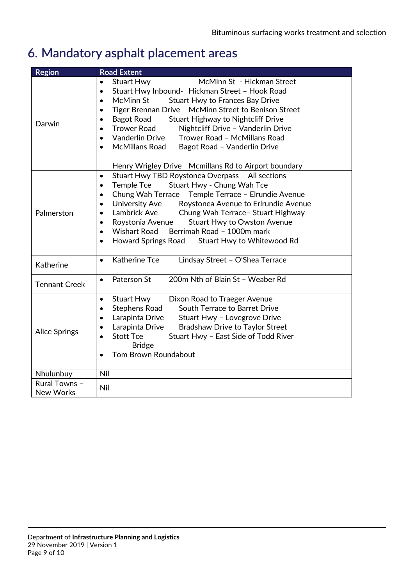# <span id="page-8-0"></span>**6. Mandatory asphalt placement areas**

| <b>Region</b>                     | <b>Road Extent</b>                                                                                                                                                                                                                                                                                                                                                                                                                                                                                                                                                                               |
|-----------------------------------|--------------------------------------------------------------------------------------------------------------------------------------------------------------------------------------------------------------------------------------------------------------------------------------------------------------------------------------------------------------------------------------------------------------------------------------------------------------------------------------------------------------------------------------------------------------------------------------------------|
| Darwin                            | McMinn St - Hickman Street<br><b>Stuart Hwy</b><br>$\bullet$<br>Stuart Hwy Inbound- Hickman Street - Hook Road<br>$\bullet$<br>McMinn St<br><b>Stuart Hwy to Frances Bay Drive</b><br>$\bullet$<br>Tiger Brennan Drive McMinn Street to Benison Street<br>$\bullet$<br>Bagot Road<br><b>Stuart Highway to Nightcliff Drive</b><br>$\bullet$<br><b>Trower Road</b><br>Nightcliff Drive - Vanderlin Drive<br>$\bullet$<br>Vanderlin Drive<br>Trower Road - McMillans Road<br>$\bullet$<br><b>McMillans Road</b><br>Bagot Road - Vanderlin Drive                                                    |
| Palmerston                        | Henry Wrigley Drive Mcmillans Rd to Airport boundary<br>Stuart Hwy TBD Roystonea Overpass All sections<br>$\bullet$<br>Temple Tce<br>Stuart Hwy - Chung Wah Tce<br>$\bullet$<br>Chung Wah Terrace Temple Terrace - Elrundie Avenue<br>$\bullet$<br>University Ave<br>Roystonea Avenue to Erlrundie Avenue<br>$\bullet$<br>Lambrick Ave<br>Chung Wah Terrace- Stuart Highway<br>$\bullet$<br>Roystonia Avenue<br><b>Stuart Hwy to Owston Avenue</b><br>$\bullet$<br>Berrimah Road - 1000m mark<br><b>Wishart Road</b><br>$\bullet$<br>Howard Springs Road Stuart Hwy to Whitewood Rd<br>$\bullet$ |
| Katherine                         | <b>Katherine Tce</b><br>Lindsay Street - O'Shea Terrace<br>$\bullet$                                                                                                                                                                                                                                                                                                                                                                                                                                                                                                                             |
| <b>Tennant Creek</b>              | 200m Nth of Blain St - Weaber Rd<br>Paterson St<br>$\bullet$                                                                                                                                                                                                                                                                                                                                                                                                                                                                                                                                     |
| <b>Alice Springs</b>              | <b>Stuart Hwy</b><br>Dixon Road to Traeger Avenue<br>$\bullet$<br>South Terrace to Barret Drive<br><b>Stephens Road</b><br>$\bullet$<br>Larapinta Drive<br>Stuart Hwy - Lovegrove Drive<br>$\bullet$<br><b>Bradshaw Drive to Taylor Street</b><br>Larapinta Drive<br>٠<br><b>Stott Tce</b><br>Stuart Hwy - East Side of Todd River<br>$\bullet$<br><b>Bridge</b><br>Tom Brown Roundabout                                                                                                                                                                                                         |
| Nhulunbuy                         | Nil                                                                                                                                                                                                                                                                                                                                                                                                                                                                                                                                                                                              |
| Rural Towns -<br><b>New Works</b> | Nil                                                                                                                                                                                                                                                                                                                                                                                                                                                                                                                                                                                              |